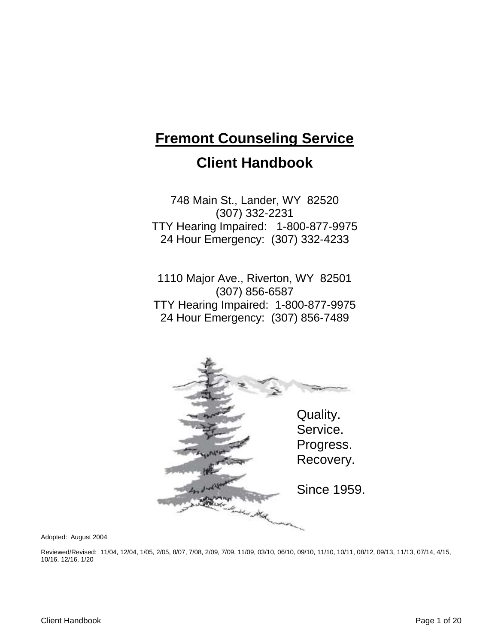# **Fremont Counseling Service Client Handbook**

748 Main St., Lander, WY 82520 (307) 332-2231 TTY Hearing Impaired: 1-800-877-9975 24 Hour Emergency: (307) 332-4233

1110 Major Ave., Riverton, WY 82501 (307) 856-6587 TTY Hearing Impaired: 1-800-877-9975 24 Hour Emergency: (307) 856-7489



Adopted: August 2004

Reviewed/Revised: 11/04, 12/04, 1/05, 2/05, 8/07, 7/08, 2/09, 7/09, 11/09, 03/10, 06/10, 09/10, 11/10, 10/11, 08/12, 09/13, 11/13, 07/14, 4/15, 10/16, 12/16, 1/20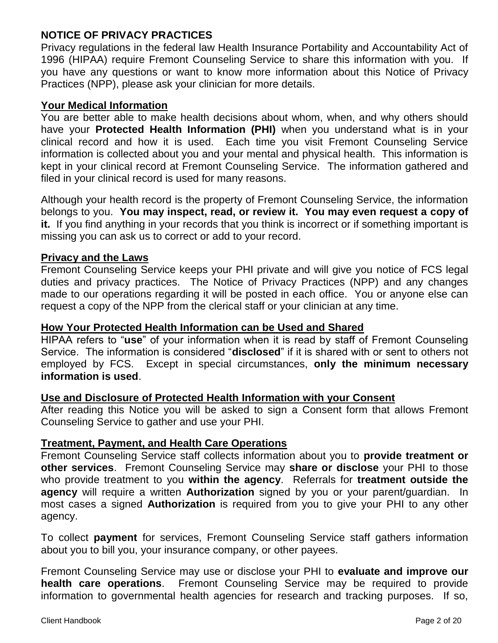# **NOTICE OF PRIVACY PRACTICES**

Privacy regulations in the federal law Health Insurance Portability and Accountability Act of 1996 (HIPAA) require Fremont Counseling Service to share this information with you. If you have any questions or want to know more information about this Notice of Privacy Practices (NPP), please ask your clinician for more details.

# **Your Medical Information**

You are better able to make health decisions about whom, when, and why others should have your **Protected Health Information (PHI)** when you understand what is in your clinical record and how it is used. Each time you visit Fremont Counseling Service information is collected about you and your mental and physical health. This information is kept in your clinical record at Fremont Counseling Service. The information gathered and filed in your clinical record is used for many reasons.

Although your health record is the property of Fremont Counseling Service, the information belongs to you. **You may inspect, read, or review it. You may even request a copy of it.** If you find anything in your records that you think is incorrect or if something important is missing you can ask us to correct or add to your record.

# **Privacy and the Laws**

Fremont Counseling Service keeps your PHI private and will give you notice of FCS legal duties and privacy practices. The Notice of Privacy Practices (NPP) and any changes made to our operations regarding it will be posted in each office. You or anyone else can request a copy of the NPP from the clerical staff or your clinician at any time.

# **How Your Protected Health Information can be Used and Shared**

HIPAA refers to "**use**" of your information when it is read by staff of Fremont Counseling Service. The information is considered "**disclosed**" if it is shared with or sent to others not employed by FCS. Except in special circumstances, **only the minimum necessary information is used**.

# **Use and Disclosure of Protected Health Information with your Consent**

After reading this Notice you will be asked to sign a Consent form that allows Fremont Counseling Service to gather and use your PHI.

# **Treatment, Payment, and Health Care Operations**

Fremont Counseling Service staff collects information about you to **provide treatment or other services**. Fremont Counseling Service may **share or disclose** your PHI to those who provide treatment to you **within the agency**. Referrals for **treatment outside the agency** will require a written **Authorization** signed by you or your parent/guardian. In most cases a signed **Authorization** is required from you to give your PHI to any other agency.

To collect **payment** for services, Fremont Counseling Service staff gathers information about you to bill you, your insurance company, or other payees.

Fremont Counseling Service may use or disclose your PHI to **evaluate and improve our health care operations**. Fremont Counseling Service may be required to provide information to governmental health agencies for research and tracking purposes. If so,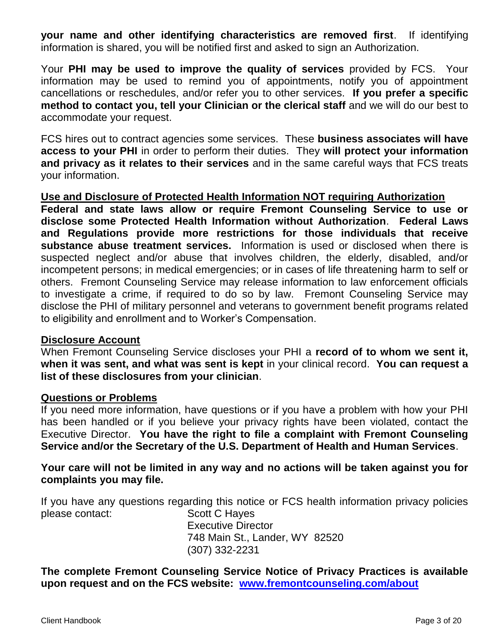**your name and other identifying characteristics are removed first**. If identifying information is shared, you will be notified first and asked to sign an Authorization.

Your **PHI may be used to improve the quality of services** provided by FCS. Your information may be used to remind you of appointments, notify you of appointment cancellations or reschedules, and/or refer you to other services. **If you prefer a specific method to contact you, tell your Clinician or the clerical staff** and we will do our best to accommodate your request.

FCS hires out to contract agencies some services. These **business associates will have access to your PHI** in order to perform their duties. They **will protect your information and privacy as it relates to their services** and in the same careful ways that FCS treats your information.

**Use and Disclosure of Protected Health Information NOT requiring Authorization**

**Federal and state laws allow or require Fremont Counseling Service to use or disclose some Protected Health Information without Authorization**. **Federal Laws and Regulations provide more restrictions for those individuals that receive substance abuse treatment services.** Information is used or disclosed when there is suspected neglect and/or abuse that involves children, the elderly, disabled, and/or incompetent persons; in medical emergencies; or in cases of life threatening harm to self or others. Fremont Counseling Service may release information to law enforcement officials to investigate a crime, if required to do so by law. Fremont Counseling Service may disclose the PHI of military personnel and veterans to government benefit programs related to eligibility and enrollment and to Worker's Compensation.

# **Disclosure Account**

When Fremont Counseling Service discloses your PHI a **record of to whom we sent it, when it was sent, and what was sent is kept** in your clinical record. **You can request a list of these disclosures from your clinician**.

# **Questions or Problems**

If you need more information, have questions or if you have a problem with how your PHI has been handled or if you believe your privacy rights have been violated, contact the Executive Director. **You have the right to file a complaint with Fremont Counseling Service and/or the Secretary of the U.S. Department of Health and Human Services**.

**Your care will not be limited in any way and no actions will be taken against you for complaints you may file.**

If you have any questions regarding this notice or FCS health information privacy policies please contact: Scott C Hayes Executive Director

748 Main St., Lander, WY 82520 (307) 332-2231

**The complete Fremont Counseling Service Notice of Privacy Practices is available upon request and on the FCS website: [www.fremontcounseling.com/about](http://www.fremontcounseling.com/about)**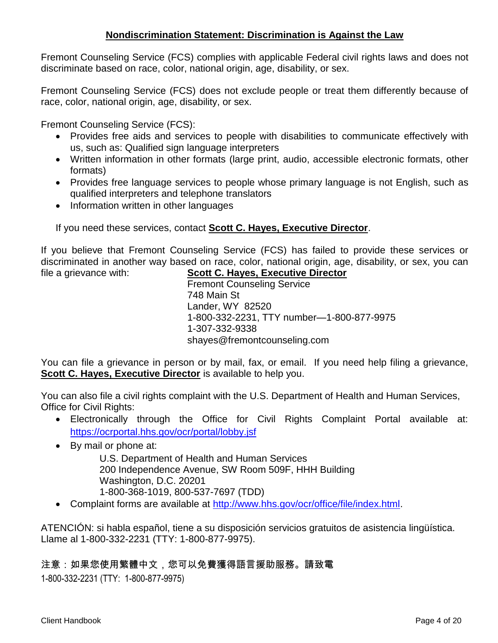# **Nondiscrimination Statement: Discrimination is Against the Law**

Fremont Counseling Service (FCS) complies with applicable Federal civil rights laws and does not discriminate based on race, color, national origin, age, disability, or sex.

Fremont Counseling Service (FCS) does not exclude people or treat them differently because of race, color, national origin, age, disability, or sex.

Fremont Counseling Service (FCS):

- Provides free aids and services to people with disabilities to communicate effectively with us, such as: Qualified sign language interpreters
- Written information in other formats (large print, audio, accessible electronic formats, other formats)
- Provides free language services to people whose primary language is not English, such as qualified interpreters and telephone translators
- Information written in other languages

If you need these services, contact **Scott C. Hayes, Executive Director**.

If you believe that Fremont Counseling Service (FCS) has failed to provide these services or discriminated in another way based on race, color, national origin, age, disability, or sex, you can file a grievance with: **Scott C. Hayes, Executive Director**

Fremont Counseling Service 748 Main St Lander, WY 82520 1-800-332-2231, TTY number—1-800-877-9975 1-307-332-9338 shayes@fremontcounseling.com

You can file a grievance in person or by mail, fax, or email. If you need help filing a grievance, **Scott C. Hayes, Executive Director** is available to help you.

You can also file a civil rights complaint with the U.S. Department of Health and Human Services, Office for Civil Rights:

- Electronically through the Office for Civil Rights Complaint Portal available at: <https://ocrportal.hhs.gov/ocr/portal/lobby.jsf>
- By mail or phone at:

U.S. Department of Health and Human Services 200 Independence Avenue, SW Room 509F, HHH Building Washington, D.C. 20201 1-800-368-1019, 800-537-7697 (TDD)

• Complaint forms are available at [http://www.hhs.gov/ocr/office/file/index.html.](http://www.hhs.gov/ocr/office/file/index.html)

ATENCIÓN: si habla español, tiene a su disposición servicios gratuitos de asistencia lingüística. Llame al 1-800-332-2231 (TTY: 1-800-877-9975).

注意:如果您使用繁體中文,您可以免費獲得語言援助服務。請致電 1-800-332-2231 (TTY: 1-800-877-9975)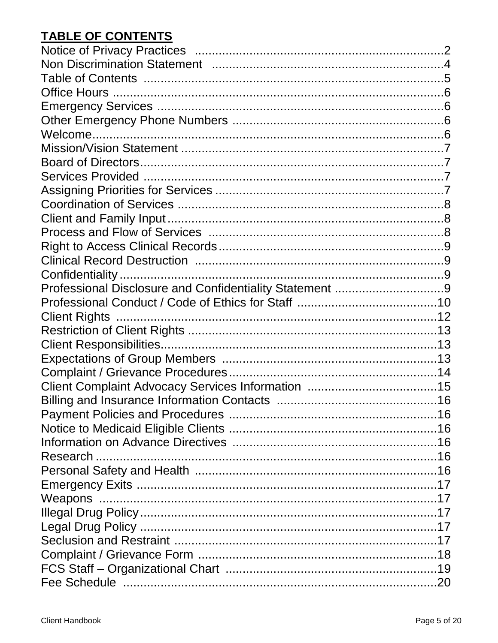# **TABLE OF CONTENTS**

| Professional Disclosure and Confidentiality Statement 9 |  |
|---------------------------------------------------------|--|
|                                                         |  |
|                                                         |  |
|                                                         |  |
|                                                         |  |
|                                                         |  |
|                                                         |  |
|                                                         |  |
|                                                         |  |
|                                                         |  |
|                                                         |  |
|                                                         |  |
|                                                         |  |
|                                                         |  |
|                                                         |  |
|                                                         |  |
|                                                         |  |
|                                                         |  |
|                                                         |  |
|                                                         |  |
|                                                         |  |
|                                                         |  |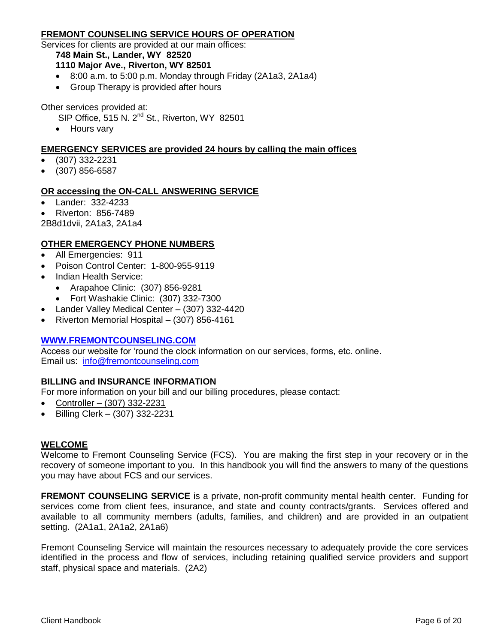#### **FREMONT COUNSELING SERVICE HOURS OF OPERATION**

Services for clients are provided at our main offices:

#### **748 Main St., Lander, WY 82520**

#### **1110 Major Ave., Riverton, WY 82501**

- 8:00 a.m. to 5:00 p.m. Monday through Friday (2A1a3, 2A1a4)
- Group Therapy is provided after hours

Other services provided at:

- SIP Office, 515 N. 2<sup>nd</sup> St., Riverton, WY 82501
- Hours vary

#### **EMERGENCY SERVICES are provided 24 hours by calling the main offices**

- (307) 332-2231
- (307) 856-6587

#### **OR accessing the ON-CALL ANSWERING SERVICE**

- Lander: 332-4233
- Riverton: 856-7489

2B8d1dvii, 2A1a3, 2A1a4

#### **OTHER EMERGENCY PHONE NUMBERS**

- All Emergencies: 911
- Poison Control Center: 1-800-955-9119
- Indian Health Service:
	- Arapahoe Clinic: (307) 856-9281
	- Fort Washakie Clinic: (307) 332-7300
- Lander Valley Medical Center (307) 332-4420
- Riverton Memorial Hospital (307) 856-4161

#### **[WWW.FREMONTCOUNSELING.COM](http://www.fremontcounseling.com/)**

Access our website for 'round the clock information on our services, forms, etc. online. Email us: [info@fremontcounseling.com](mailto:info@fremontcounseling.com)

#### **BILLING and INSURANCE INFORMATION**

For more information on your bill and our billing procedures, please contact:

- Controller (307) 332-2231
- Billing Clerk (307) 332-2231

#### **WELCOME**

Welcome to Fremont Counseling Service (FCS). You are making the first step in your recovery or in the recovery of someone important to you. In this handbook you will find the answers to many of the questions you may have about FCS and our services.

**FREMONT COUNSELING SERVICE** is a private, non-profit community mental health center. Funding for services come from client fees, insurance, and state and county contracts/grants. Services offered and available to all community members (adults, families, and children) and are provided in an outpatient setting. (2A1a1, 2A1a2, 2A1a6)

Fremont Counseling Service will maintain the resources necessary to adequately provide the core services identified in the process and flow of services, including retaining qualified service providers and support staff, physical space and materials. (2A2)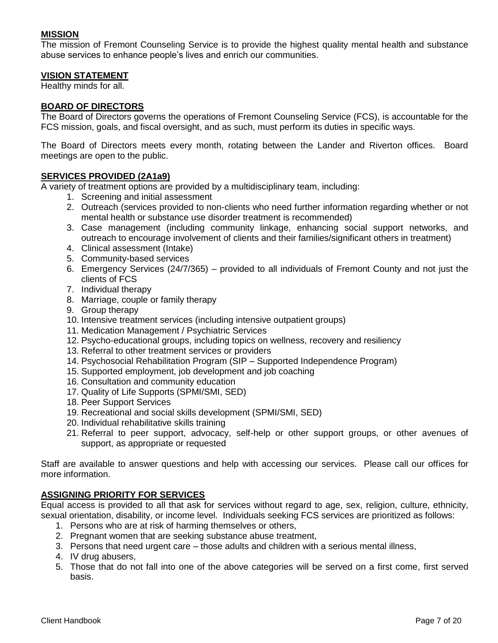#### **MISSION**

The mission of Fremont Counseling Service is to provide the highest quality mental health and substance abuse services to enhance people's lives and enrich our communities.

#### **VISION STATEMENT**

Healthy minds for all.

#### **BOARD OF DIRECTORS**

The Board of Directors governs the operations of Fremont Counseling Service (FCS), is accountable for the FCS mission, goals, and fiscal oversight, and as such, must perform its duties in specific ways.

The Board of Directors meets every month, rotating between the Lander and Riverton offices. Board meetings are open to the public.

#### **SERVICES PROVIDED (2A1a9)**

A variety of treatment options are provided by a multidisciplinary team, including:

- 1. Screening and initial assessment
- 2. Outreach (services provided to non-clients who need further information regarding whether or not mental health or substance use disorder treatment is recommended)
- 3. Case management (including community linkage, enhancing social support networks, and outreach to encourage involvement of clients and their families/significant others in treatment)
- 4. Clinical assessment (Intake)
- 5. Community-based services
- 6. Emergency Services (24/7/365) provided to all individuals of Fremont County and not just the clients of FCS
- 7. Individual therapy
- 8. Marriage, couple or family therapy
- 9. Group therapy
- 10. Intensive treatment services (including intensive outpatient groups)
- 11. Medication Management / Psychiatric Services
- 12. Psycho-educational groups, including topics on wellness, recovery and resiliency
- 13. Referral to other treatment services or providers
- 14. Psychosocial Rehabilitation Program (SIP Supported Independence Program)
- 15. Supported employment, job development and job coaching
- 16. Consultation and community education
- 17. Quality of Life Supports (SPMI/SMI, SED)
- 18. Peer Support Services
- 19. Recreational and social skills development (SPMI/SMI, SED)
- 20. Individual rehabilitative skills training
- 21. Referral to peer support, advocacy, self-help or other support groups, or other avenues of support, as appropriate or requested

Staff are available to answer questions and help with accessing our services. Please call our offices for more information.

#### **ASSIGNING PRIORITY FOR SERVICES**

Equal access is provided to all that ask for services without regard to age, sex, religion, culture, ethnicity, sexual orientation, disability, or income level. Individuals seeking FCS services are prioritized as follows:

- 1. Persons who are at risk of harming themselves or others,
- 2. Pregnant women that are seeking substance abuse treatment,
- 3. Persons that need urgent care those adults and children with a serious mental illness,
- 4. IV drug abusers,
- 5. Those that do not fall into one of the above categories will be served on a first come, first served basis.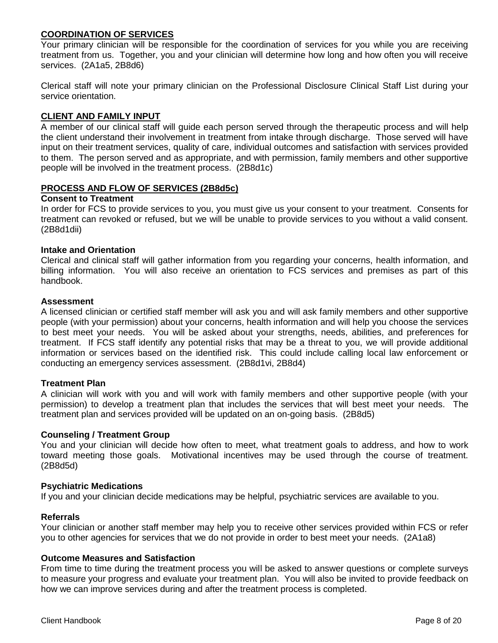#### **COORDINATION OF SERVICES**

Your primary clinician will be responsible for the coordination of services for you while you are receiving treatment from us. Together, you and your clinician will determine how long and how often you will receive services. (2A1a5, 2B8d6)

Clerical staff will note your primary clinician on the Professional Disclosure Clinical Staff List during your service orientation.

#### **CLIENT AND FAMILY INPUT**

A member of our clinical staff will guide each person served through the therapeutic process and will help the client understand their involvement in treatment from intake through discharge. Those served will have input on their treatment services, quality of care, individual outcomes and satisfaction with services provided to them. The person served and as appropriate, and with permission, family members and other supportive people will be involved in the treatment process. (2B8d1c)

#### **PROCESS AND FLOW OF SERVICES (2B8d5c)**

#### **Consent to Treatment**

In order for FCS to provide services to you, you must give us your consent to your treatment. Consents for treatment can revoked or refused, but we will be unable to provide services to you without a valid consent. (2B8d1dii)

#### **Intake and Orientation**

Clerical and clinical staff will gather information from you regarding your concerns, health information, and billing information. You will also receive an orientation to FCS services and premises as part of this handbook.

#### **Assessment**

A licensed clinician or certified staff member will ask you and will ask family members and other supportive people (with your permission) about your concerns, health information and will help you choose the services to best meet your needs. You will be asked about your strengths, needs, abilities, and preferences for treatment. If FCS staff identify any potential risks that may be a threat to you, we will provide additional information or services based on the identified risk. This could include calling local law enforcement or conducting an emergency services assessment. (2B8d1vi, 2B8d4)

#### **Treatment Plan**

A clinician will work with you and will work with family members and other supportive people (with your permission) to develop a treatment plan that includes the services that will best meet your needs. The treatment plan and services provided will be updated on an on-going basis. (2B8d5)

#### **Counseling / Treatment Group**

You and your clinician will decide how often to meet, what treatment goals to address, and how to work toward meeting those goals. Motivational incentives may be used through the course of treatment. (2B8d5d)

#### **Psychiatric Medications**

If you and your clinician decide medications may be helpful, psychiatric services are available to you.

#### **Referrals**

Your clinician or another staff member may help you to receive other services provided within FCS or refer you to other agencies for services that we do not provide in order to best meet your needs. (2A1a8)

#### **Outcome Measures and Satisfaction**

From time to time during the treatment process you will be asked to answer questions or complete surveys to measure your progress and evaluate your treatment plan. You will also be invited to provide feedback on how we can improve services during and after the treatment process is completed.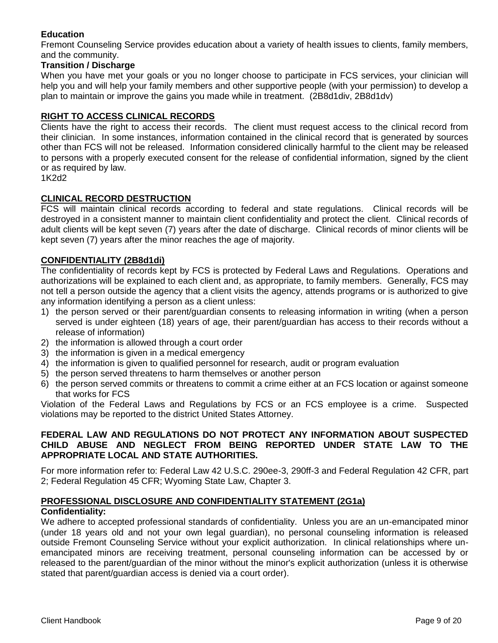## **Education**

Fremont Counseling Service provides education about a variety of health issues to clients, family members, and the community.

#### **Transition / Discharge**

When you have met your goals or you no longer choose to participate in FCS services, your clinician will help you and will help your family members and other supportive people (with your permission) to develop a plan to maintain or improve the gains you made while in treatment. (2B8d1div, 2B8d1dv)

## **RIGHT TO ACCESS CLINICAL RECORDS**

Clients have the right to access their records. The client must request access to the clinical record from their clinician. In some instances, information contained in the clinical record that is generated by sources other than FCS will not be released. Information considered clinically harmful to the client may be released to persons with a properly executed consent for the release of confidential information, signed by the client or as required by law.

1K2d2

#### **CLINICAL RECORD DESTRUCTION**

FCS will maintain clinical records according to federal and state regulations. Clinical records will be destroyed in a consistent manner to maintain client confidentiality and protect the client. Clinical records of adult clients will be kept seven (7) years after the date of discharge. Clinical records of minor clients will be kept seven (7) years after the minor reaches the age of majority.

#### **CONFIDENTIALITY (2B8d1di)**

The confidentiality of records kept by FCS is protected by Federal Laws and Regulations. Operations and authorizations will be explained to each client and, as appropriate, to family members. Generally, FCS may not tell a person outside the agency that a client visits the agency, attends programs or is authorized to give any information identifying a person as a client unless:

- 1) the person served or their parent/guardian consents to releasing information in writing (when a person served is under eighteen (18) years of age, their parent/guardian has access to their records without a release of information)
- 2) the information is allowed through a court order
- 3) the information is given in a medical emergency
- 4) the information is given to qualified personnel for research, audit or program evaluation
- 5) the person served threatens to harm themselves or another person
- 6) the person served commits or threatens to commit a crime either at an FCS location or against someone that works for FCS

Violation of the Federal Laws and Regulations by FCS or an FCS employee is a crime. Suspected violations may be reported to the district United States Attorney.

#### **FEDERAL LAW AND REGULATIONS DO NOT PROTECT ANY INFORMATION ABOUT SUSPECTED CHILD ABUSE AND NEGLECT FROM BEING REPORTED UNDER STATE LAW TO THE APPROPRIATE LOCAL AND STATE AUTHORITIES.**

For more information refer to: Federal Law 42 U.S.C. 290ee-3, 290ff-3 and Federal Regulation 42 CFR, part 2; Federal Regulation 45 CFR; Wyoming State Law, Chapter 3.

# **PROFESSIONAL DISCLOSURE AND CONFIDENTIALITY STATEMENT (2G1a)**

#### **Confidentiality:**

We adhere to accepted professional standards of confidentiality. Unless you are an un-emancipated minor (under 18 years old and not your own legal guardian), no personal counseling information is released outside Fremont Counseling Service without your explicit authorization. In clinical relationships where unemancipated minors are receiving treatment, personal counseling information can be accessed by or released to the parent/guardian of the minor without the minor's explicit authorization (unless it is otherwise stated that parent/guardian access is denied via a court order).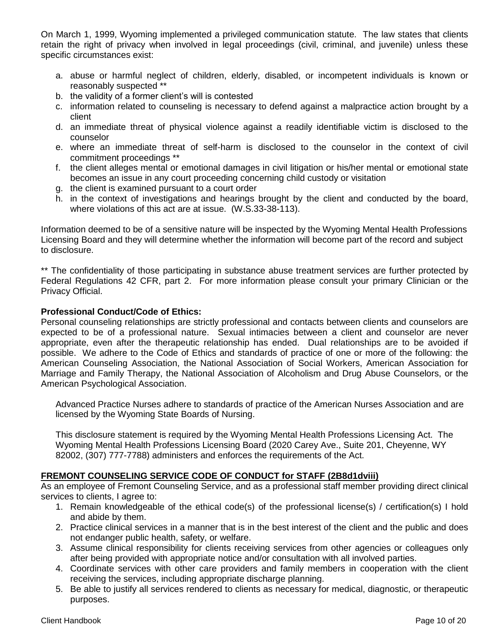On March 1, 1999, Wyoming implemented a privileged communication statute. The law states that clients retain the right of privacy when involved in legal proceedings (civil, criminal, and juvenile) unless these specific circumstances exist:

- a. abuse or harmful neglect of children, elderly, disabled, or incompetent individuals is known or reasonably suspected \*\*
- b. the validity of a former client's will is contested
- c. information related to counseling is necessary to defend against a malpractice action brought by a client
- d. an immediate threat of physical violence against a readily identifiable victim is disclosed to the counselor
- e. where an immediate threat of self-harm is disclosed to the counselor in the context of civil commitment proceedings \*\*
- f. the client alleges mental or emotional damages in civil litigation or his/her mental or emotional state becomes an issue in any court proceeding concerning child custody or visitation
- g. the client is examined pursuant to a court order
- h. in the context of investigations and hearings brought by the client and conducted by the board, where violations of this act are at issue. (W.S.33-38-113).

Information deemed to be of a sensitive nature will be inspected by the Wyoming Mental Health Professions Licensing Board and they will determine whether the information will become part of the record and subject to disclosure.

\*\* The confidentiality of those participating in substance abuse treatment services are further protected by Federal Regulations 42 CFR, part 2. For more information please consult your primary Clinician or the Privacy Official.

#### **Professional Conduct/Code of Ethics:**

Personal counseling relationships are strictly professional and contacts between clients and counselors are expected to be of a professional nature. Sexual intimacies between a client and counselor are never appropriate, even after the therapeutic relationship has ended. Dual relationships are to be avoided if possible. We adhere to the Code of Ethics and standards of practice of one or more of the following: the American Counseling Association, the National Association of Social Workers, American Association for Marriage and Family Therapy, the National Association of Alcoholism and Drug Abuse Counselors, or the American Psychological Association.

Advanced Practice Nurses adhere to standards of practice of the American Nurses Association and are licensed by the Wyoming State Boards of Nursing.

This disclosure statement is required by the Wyoming Mental Health Professions Licensing Act. The Wyoming Mental Health Professions Licensing Board (2020 Carey Ave., Suite 201, Cheyenne, WY 82002, (307) 777-7788) administers and enforces the requirements of the Act.

#### **FREMONT COUNSELING SERVICE CODE OF CONDUCT for STAFF (2B8d1dviii)**

As an employee of Fremont Counseling Service, and as a professional staff member providing direct clinical services to clients, I agree to:

- 1. Remain knowledgeable of the ethical code(s) of the professional license(s) / certification(s) I hold and abide by them.
- 2. Practice clinical services in a manner that is in the best interest of the client and the public and does not endanger public health, safety, or welfare.
- 3. Assume clinical responsibility for clients receiving services from other agencies or colleagues only after being provided with appropriate notice and/or consultation with all involved parties.
- 4. Coordinate services with other care providers and family members in cooperation with the client receiving the services, including appropriate discharge planning.
- 5. Be able to justify all services rendered to clients as necessary for medical, diagnostic, or therapeutic purposes.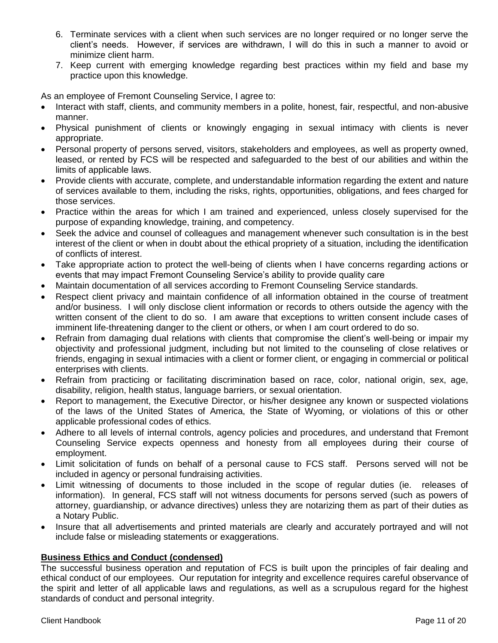- 6. Terminate services with a client when such services are no longer required or no longer serve the client's needs. However, if services are withdrawn, I will do this in such a manner to avoid or minimize client harm.
- 7. Keep current with emerging knowledge regarding best practices within my field and base my practice upon this knowledge.

As an employee of Fremont Counseling Service, I agree to:

- Interact with staff, clients, and community members in a polite, honest, fair, respectful, and non-abusive manner.
- Physical punishment of clients or knowingly engaging in sexual intimacy with clients is never appropriate.
- Personal property of persons served, visitors, stakeholders and employees, as well as property owned, leased, or rented by FCS will be respected and safeguarded to the best of our abilities and within the limits of applicable laws.
- Provide clients with accurate, complete, and understandable information regarding the extent and nature of services available to them, including the risks, rights, opportunities, obligations, and fees charged for those services.
- Practice within the areas for which I am trained and experienced, unless closely supervised for the purpose of expanding knowledge, training, and competency.
- Seek the advice and counsel of colleagues and management whenever such consultation is in the best interest of the client or when in doubt about the ethical propriety of a situation, including the identification of conflicts of interest.
- Take appropriate action to protect the well-being of clients when I have concerns regarding actions or events that may impact Fremont Counseling Service's ability to provide quality care
- Maintain documentation of all services according to Fremont Counseling Service standards.
- Respect client privacy and maintain confidence of all information obtained in the course of treatment and/or business. I will only disclose client information or records to others outside the agency with the written consent of the client to do so. I am aware that exceptions to written consent include cases of imminent life-threatening danger to the client or others, or when I am court ordered to do so.
- Refrain from damaging dual relations with clients that compromise the client's well-being or impair my objectivity and professional judgment, including but not limited to the counseling of close relatives or friends, engaging in sexual intimacies with a client or former client, or engaging in commercial or political enterprises with clients.
- Refrain from practicing or facilitating discrimination based on race, color, national origin, sex, age, disability, religion, health status, language barriers, or sexual orientation.
- Report to management, the Executive Director, or his/her designee any known or suspected violations of the laws of the United States of America, the State of Wyoming, or violations of this or other applicable professional codes of ethics.
- Adhere to all levels of internal controls, agency policies and procedures, and understand that Fremont Counseling Service expects openness and honesty from all employees during their course of employment.
- Limit solicitation of funds on behalf of a personal cause to FCS staff. Persons served will not be included in agency or personal fundraising activities.
- Limit witnessing of documents to those included in the scope of regular duties (ie. releases of information). In general, FCS staff will not witness documents for persons served (such as powers of attorney, guardianship, or advance directives) unless they are notarizing them as part of their duties as a Notary Public.
- Insure that all advertisements and printed materials are clearly and accurately portrayed and will not include false or misleading statements or exaggerations.

# **Business Ethics and Conduct (condensed)**

The successful business operation and reputation of FCS is built upon the principles of fair dealing and ethical conduct of our employees. Our reputation for integrity and excellence requires careful observance of the spirit and letter of all applicable laws and regulations, as well as a scrupulous regard for the highest standards of conduct and personal integrity.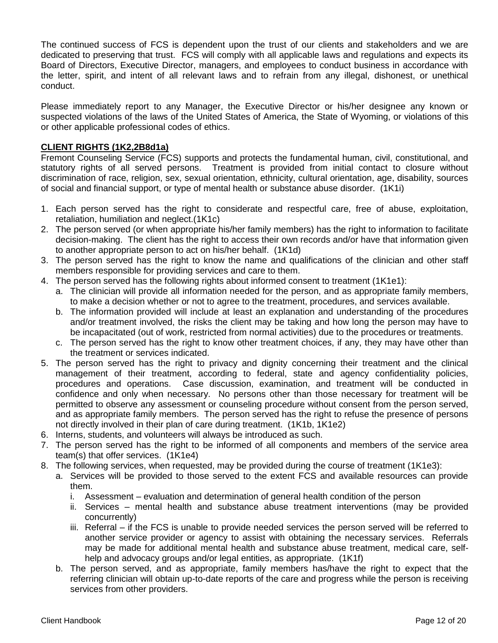The continued success of FCS is dependent upon the trust of our clients and stakeholders and we are dedicated to preserving that trust. FCS will comply with all applicable laws and regulations and expects its Board of Directors, Executive Director, managers, and employees to conduct business in accordance with the letter, spirit, and intent of all relevant laws and to refrain from any illegal, dishonest, or unethical conduct.

Please immediately report to any Manager, the Executive Director or his/her designee any known or suspected violations of the laws of the United States of America, the State of Wyoming, or violations of this or other applicable professional codes of ethics.

#### **CLIENT RIGHTS (1K2,2B8d1a)**

Fremont Counseling Service (FCS) supports and protects the fundamental human, civil, constitutional, and statutory rights of all served persons. Treatment is provided from initial contact to closure without discrimination of race, religion, sex, sexual orientation, ethnicity, cultural orientation, age, disability, sources of social and financial support, or type of mental health or substance abuse disorder. (1K1i)

- 1. Each person served has the right to considerate and respectful care, free of abuse, exploitation, retaliation, humiliation and neglect.(1K1c)
- 2. The person served (or when appropriate his/her family members) has the right to information to facilitate decision-making. The client has the right to access their own records and/or have that information given to another appropriate person to act on his/her behalf. (1K1d)
- 3. The person served has the right to know the name and qualifications of the clinician and other staff members responsible for providing services and care to them.
- 4. The person served has the following rights about informed consent to treatment (1K1e1):
	- a. The clinician will provide all information needed for the person, and as appropriate family members, to make a decision whether or not to agree to the treatment, procedures, and services available.
	- b. The information provided will include at least an explanation and understanding of the procedures and/or treatment involved, the risks the client may be taking and how long the person may have to be incapacitated (out of work, restricted from normal activities) due to the procedures or treatments.
	- c. The person served has the right to know other treatment choices, if any, they may have other than the treatment or services indicated.
- 5. The person served has the right to privacy and dignity concerning their treatment and the clinical management of their treatment, according to federal, state and agency confidentiality policies, procedures and operations. Case discussion, examination, and treatment will be conducted in confidence and only when necessary. No persons other than those necessary for treatment will be permitted to observe any assessment or counseling procedure without consent from the person served, and as appropriate family members. The person served has the right to refuse the presence of persons not directly involved in their plan of care during treatment. (1K1b, 1K1e2)
- 6. Interns, students, and volunteers will always be introduced as such.
- 7. The person served has the right to be informed of all components and members of the service area team(s) that offer services. (1K1e4)
- 8. The following services, when requested, may be provided during the course of treatment (1K1e3):
	- a. Services will be provided to those served to the extent FCS and available resources can provide them.
		- i. Assessment evaluation and determination of general health condition of the person
		- ii. Services mental health and substance abuse treatment interventions (may be provided concurrently)
		- iii. Referral if the FCS is unable to provide needed services the person served will be referred to another service provider or agency to assist with obtaining the necessary services. Referrals may be made for additional mental health and substance abuse treatment, medical care, selfhelp and advocacy groups and/or legal entities, as appropriate. (1K1f)
	- b. The person served, and as appropriate, family members has/have the right to expect that the referring clinician will obtain up-to-date reports of the care and progress while the person is receiving services from other providers.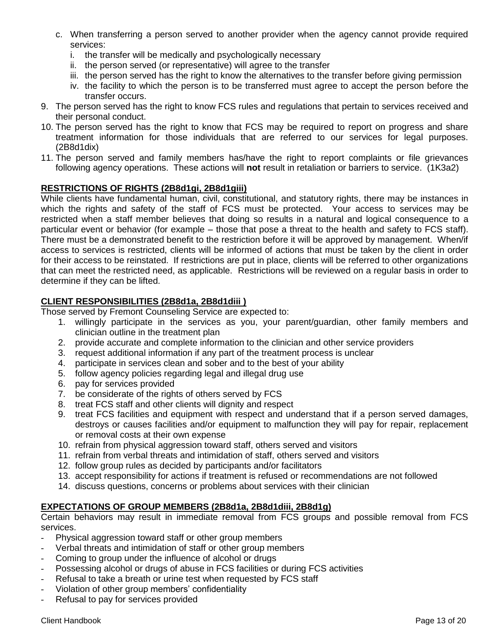- c. When transferring a person served to another provider when the agency cannot provide required services:
	- i. the transfer will be medically and psychologically necessary
	- ii. the person served (or representative) will agree to the transfer
	- iii. the person served has the right to know the alternatives to the transfer before giving permission
	- iv. the facility to which the person is to be transferred must agree to accept the person before the transfer occurs.
- 9. The person served has the right to know FCS rules and regulations that pertain to services received and their personal conduct.
- 10. The person served has the right to know that FCS may be required to report on progress and share treatment information for those individuals that are referred to our services for legal purposes. (2B8d1dix)
- 11. The person served and family members has/have the right to report complaints or file grievances following agency operations. These actions will **not** result in retaliation or barriers to service. (1K3a2)

### **RESTRICTIONS OF RIGHTS (2B8d1gi, 2B8d1giii)**

While clients have fundamental human, civil, constitutional, and statutory rights, there may be instances in which the rights and safety of the staff of FCS must be protected. Your access to services may be restricted when a staff member believes that doing so results in a natural and logical consequence to a particular event or behavior (for example – those that pose a threat to the health and safety to FCS staff). There must be a demonstrated benefit to the restriction before it will be approved by management. When/if access to services is restricted, clients will be informed of actions that must be taken by the client in order for their access to be reinstated. If restrictions are put in place, clients will be referred to other organizations that can meet the restricted need, as applicable. Restrictions will be reviewed on a regular basis in order to determine if they can be lifted.

#### **CLIENT RESPONSIBILITIES (2B8d1a, 2B8d1diii )**

Those served by Fremont Counseling Service are expected to:

- 1. willingly participate in the services as you, your parent/guardian, other family members and clinician outline in the treatment plan
- 2. provide accurate and complete information to the clinician and other service providers
- 3. request additional information if any part of the treatment process is unclear
- 4. participate in services clean and sober and to the best of your ability
- 5. follow agency policies regarding legal and illegal drug use
- 6. pay for services provided
- 7. be considerate of the rights of others served by FCS
- 8. treat FCS staff and other clients will dignity and respect
- 9. treat FCS facilities and equipment with respect and understand that if a person served damages, destroys or causes facilities and/or equipment to malfunction they will pay for repair, replacement or removal costs at their own expense
- 10. refrain from physical aggression toward staff, others served and visitors
- 11. refrain from verbal threats and intimidation of staff, others served and visitors
- 12. follow group rules as decided by participants and/or facilitators
- 13. accept responsibility for actions if treatment is refused or recommendations are not followed
- 14. discuss questions, concerns or problems about services with their clinician

#### **EXPECTATIONS OF GROUP MEMBERS (2B8d1a, 2B8d1diii, 2B8d1g)**

Certain behaviors may result in immediate removal from FCS groups and possible removal from FCS services.

- Physical aggression toward staff or other group members
- Verbal threats and intimidation of staff or other group members
- Coming to group under the influence of alcohol or drugs
- Possessing alcohol or drugs of abuse in FCS facilities or during FCS activities
- Refusal to take a breath or urine test when requested by FCS staff
- Violation of other group members' confidentiality
- Refusal to pay for services provided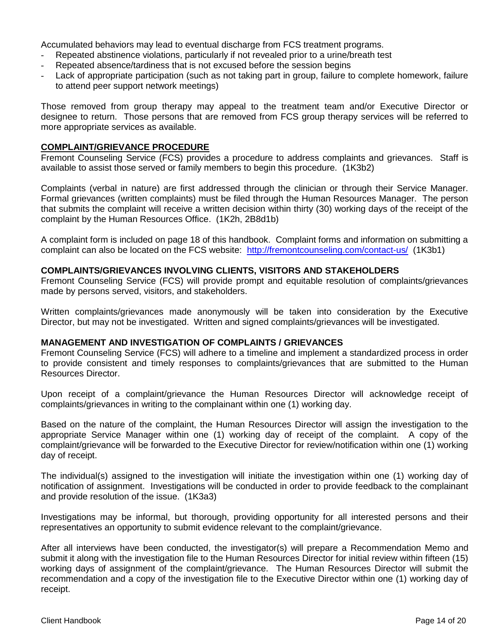Accumulated behaviors may lead to eventual discharge from FCS treatment programs.

- Repeated abstinence violations, particularly if not revealed prior to a urine/breath test
- Repeated absence/tardiness that is not excused before the session begins
- Lack of appropriate participation (such as not taking part in group, failure to complete homework, failure to attend peer support network meetings)

Those removed from group therapy may appeal to the treatment team and/or Executive Director or designee to return. Those persons that are removed from FCS group therapy services will be referred to more appropriate services as available.

#### **COMPLAINT/GRIEVANCE PROCEDURE**

Fremont Counseling Service (FCS) provides a procedure to address complaints and grievances. Staff is available to assist those served or family members to begin this procedure. (1K3b2)

Complaints (verbal in nature) are first addressed through the clinician or through their Service Manager. Formal grievances (written complaints) must be filed through the Human Resources Manager. The person that submits the complaint will receive a written decision within thirty (30) working days of the receipt of the complaint by the Human Resources Office. (1K2h, 2B8d1b)

A complaint form is included on page 18 of this handbook. Complaint forms and information on submitting a complaint can also be located on the FCS website: <http://fremontcounseling.com/contact-us/>(1K3b1)

#### **COMPLAINTS/GRIEVANCES INVOLVING CLIENTS, VISITORS AND STAKEHOLDERS**

Fremont Counseling Service (FCS) will provide prompt and equitable resolution of complaints/grievances made by persons served, visitors, and stakeholders.

Written complaints/grievances made anonymously will be taken into consideration by the Executive Director, but may not be investigated. Written and signed complaints/grievances will be investigated.

#### **MANAGEMENT AND INVESTIGATION OF COMPLAINTS / GRIEVANCES**

Fremont Counseling Service (FCS) will adhere to a timeline and implement a standardized process in order to provide consistent and timely responses to complaints/grievances that are submitted to the Human Resources Director.

Upon receipt of a complaint/grievance the Human Resources Director will acknowledge receipt of complaints/grievances in writing to the complainant within one (1) working day.

Based on the nature of the complaint, the Human Resources Director will assign the investigation to the appropriate Service Manager within one (1) working day of receipt of the complaint. A copy of the complaint/grievance will be forwarded to the Executive Director for review/notification within one (1) working day of receipt.

The individual(s) assigned to the investigation will initiate the investigation within one (1) working day of notification of assignment. Investigations will be conducted in order to provide feedback to the complainant and provide resolution of the issue. (1K3a3)

Investigations may be informal, but thorough, providing opportunity for all interested persons and their representatives an opportunity to submit evidence relevant to the complaint/grievance.

After all interviews have been conducted, the investigator(s) will prepare a Recommendation Memo and submit it along with the investigation file to the Human Resources Director for initial review within fifteen (15) working days of assignment of the complaint/grievance. The Human Resources Director will submit the recommendation and a copy of the investigation file to the Executive Director within one (1) working day of receipt.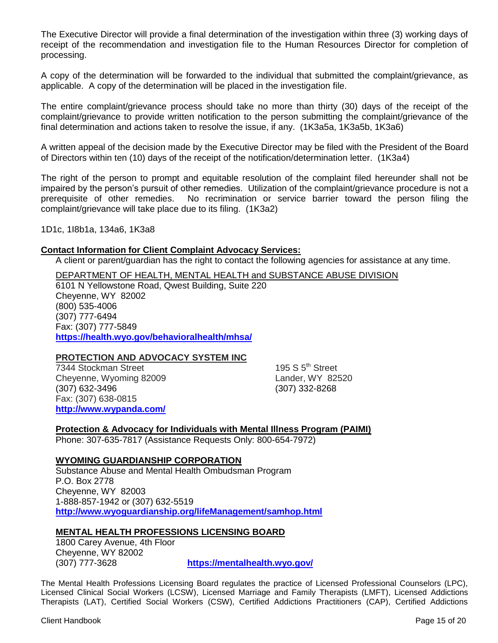The Executive Director will provide a final determination of the investigation within three (3) working days of receipt of the recommendation and investigation file to the Human Resources Director for completion of processing.

A copy of the determination will be forwarded to the individual that submitted the complaint/grievance, as applicable. A copy of the determination will be placed in the investigation file.

The entire complaint/grievance process should take no more than thirty (30) days of the receipt of the complaint/grievance to provide written notification to the person submitting the complaint/grievance of the final determination and actions taken to resolve the issue, if any. (1K3a5a, 1K3a5b, 1K3a6)

A written appeal of the decision made by the Executive Director may be filed with the President of the Board of Directors within ten (10) days of the receipt of the notification/determination letter. (1K3a4)

The right of the person to prompt and equitable resolution of the complaint filed hereunder shall not be impaired by the person's pursuit of other remedies. Utilization of the complaint/grievance procedure is not a prerequisite of other remedies. No recrimination or service barrier toward the person filing the complaint/grievance will take place due to its filing. (1K3a2)

1D1c, 1I8b1a, 134a6, 1K3a8

#### **Contact Information for Client Complaint Advocacy Services:**

A client or parent/guardian has the right to contact the following agencies for assistance at any time.

DEPARTMENT OF HEALTH, MENTAL HEALTH and SUBSTANCE ABUSE DIVISION 6101 N Yellowstone Road, Qwest Building, Suite 220 Cheyenne, WY 82002 (800) 535-4006 (307) 777-6494 Fax: (307) 777-5849 **<https://health.wyo.gov/behavioralhealth/mhsa/>**

#### **PROTECTION AND ADVOCACY SYSTEM INC**

7344 Stockman Street 195 S 5<sup>th</sup> Street Cheyenne, Wyoming 82009 Lander, WY 82520 (307) 632-3496 (307) 332-8268 Fax: (307) 638-0815 **<http://www.wypanda.com/>**

**Protection & Advocacy for Individuals with Mental Illness Program (PAIMI)**

Phone: 307-635-7817 (Assistance Requests Only: 800-654-7972)

#### **WYOMING GUARDIANSHIP CORPORATION**

Substance Abuse and Mental Health Ombudsman Program P.O. Box 2778 Cheyenne, WY 82003 1-888-857-1942 or (307) 632-5519 **http://www.wyoguardianship.org/lifeManagement/samhop.html**

#### **MENTAL HEALTH PROFESSIONS LICENSING BOARD**

1800 Carey Avenue, 4th Floor Cheyenne, WY 82002

(307) 777-3628 **https://mentalhealth.wyo.gov/**

The Mental Health Professions Licensing Board regulates the practice of Licensed Professional Counselors (LPC), Licensed Clinical Social Workers (LCSW), Licensed Marriage and Family Therapists (LMFT), Licensed Addictions Therapists (LAT), Certified Social Workers (CSW), Certified Addictions Practitioners (CAP), Certified Addictions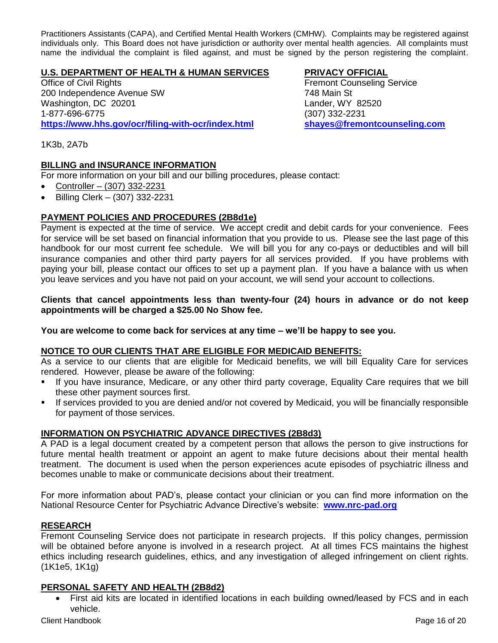Practitioners Assistants (CAPA), and Certified Mental Health Workers (CMHW). Complaints may be registered against individuals only. This Board does not have jurisdiction or authority over mental health agencies. All complaints must name the individual the complaint is filed against, and must be signed by the person registering the complaint.

#### **U.S. DEPARTMENT OF HEALTH & HUMAN SERVICES PRIVACY OFFICIAL**

**Office of Civil Rights Counseling Service Fremont Counseling Service** 200 Independence Avenue SW 748 Main St<br>
Washington, DC 20201 1999 Washington, DC 20201 1-877-696-6775 (307) 332-2231 **<https://www.hhs.gov/ocr/filing-with-ocr/index.html> shayes@fremontcounseling.com**

1K3b, 2A7b

#### **BILLING and INSURANCE INFORMATION**

For more information on your bill and our billing procedures, please contact:

- Controller  $(307)$  332-2231
- $\bullet$  Billing Clerk (307) 332-2231

### **PAYMENT POLICIES AND PROCEDURES (2B8d1e)**

Payment is expected at the time of service. We accept credit and debit cards for your convenience. Fees for service will be set based on financial information that you provide to us. Please see the last page of this handbook for our most current fee schedule. We will bill you for any co-pays or deductibles and will bill insurance companies and other third party payers for all services provided. If you have problems with paying your bill, please contact our offices to set up a payment plan. If you have a balance with us when you leave services and you have not paid on your account, we will send your account to collections.

#### **Clients that cancel appointments less than twenty-four (24) hours in advance or do not keep appointments will be charged a \$25.00 No Show fee.**

**You are welcome to come back for services at any time – we'll be happy to see you.**

#### **NOTICE TO OUR CLIENTS THAT ARE ELIGIBLE FOR MEDICAID BENEFITS:**

As a service to our clients that are eligible for Medicaid benefits, we will bill Equality Care for services rendered. However, please be aware of the following:

- If you have insurance, Medicare, or any other third party coverage, Equality Care requires that we bill these other payment sources first.
- If services provided to you are denied and/or not covered by Medicaid, you will be financially responsible for payment of those services.

#### **INFORMATION ON PSYCHIATRIC ADVANCE DIRECTIVES (2B8d3)**

A PAD is a legal document created by a competent person that allows the person to give instructions for future mental health treatment or appoint an agent to make future decisions about their mental health treatment. The document is used when the person experiences acute episodes of psychiatric illness and becomes unable to make or communicate decisions about their treatment.

For more information about PAD's, please contact your clinician or you can find more information on the National Resource Center for Psychiatric Advance Directive's website: **[www.nrc-pad.org](http://www.nrc-pad.org/)**

#### **RESEARCH**

Fremont Counseling Service does not participate in research projects. If this policy changes, permission will be obtained before anyone is involved in a research project. At all times FCS maintains the highest ethics including research guidelines, ethics, and any investigation of alleged infringement on client rights. (1K1e5, 1K1g)

#### **PERSONAL SAFETY AND HEALTH (2B8d2)**

 First aid kits are located in identified locations in each building owned/leased by FCS and in each vehicle.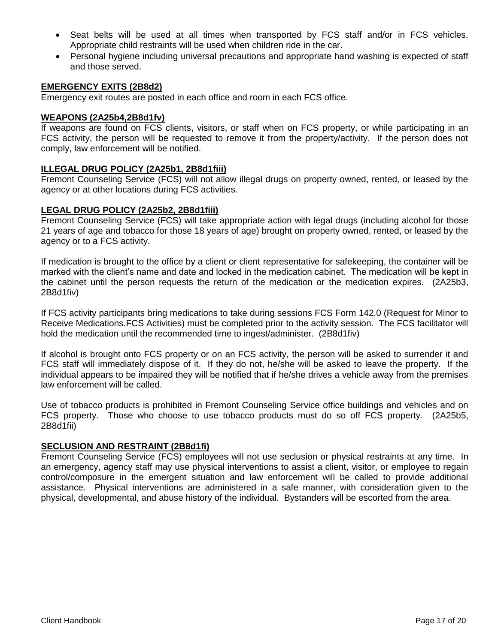- Seat belts will be used at all times when transported by FCS staff and/or in FCS vehicles. Appropriate child restraints will be used when children ride in the car.
- Personal hygiene including universal precautions and appropriate hand washing is expected of staff and those served.

#### **EMERGENCY EXITS (2B8d2)**

Emergency exit routes are posted in each office and room in each FCS office.

#### **WEAPONS (2A25b4,2B8d1fv)**

If weapons are found on FCS clients, visitors, or staff when on FCS property, or while participating in an FCS activity, the person will be requested to remove it from the property/activity. If the person does not comply, law enforcement will be notified.

#### **ILLEGAL DRUG POLICY (2A25b1, 2B8d1fiii)**

Fremont Counseling Service (FCS) will not allow illegal drugs on property owned, rented, or leased by the agency or at other locations during FCS activities.

#### **LEGAL DRUG POLICY (2A25b2, 2B8d1fiii)**

Fremont Counseling Service (FCS) will take appropriate action with legal drugs (including alcohol for those 21 years of age and tobacco for those 18 years of age) brought on property owned, rented, or leased by the agency or to a FCS activity.

If medication is brought to the office by a client or client representative for safekeeping, the container will be marked with the client's name and date and locked in the medication cabinet. The medication will be kept in the cabinet until the person requests the return of the medication or the medication expires. (2A25b3, 2B8d1fiv)

If FCS activity participants bring medications to take during sessions FCS Form 142.0 (Request for Minor to Receive Medications.FCS Activities) must be completed prior to the activity session. The FCS facilitator will hold the medication until the recommended time to ingest/administer. (2B8d1fiv)

If alcohol is brought onto FCS property or on an FCS activity, the person will be asked to surrender it and FCS staff will immediately dispose of it. If they do not, he/she will be asked to leave the property. If the individual appears to be impaired they will be notified that if he/she drives a vehicle away from the premises law enforcement will be called.

Use of tobacco products is prohibited in Fremont Counseling Service office buildings and vehicles and on FCS property. Those who choose to use tobacco products must do so off FCS property. (2A25b5, 2B8d1fii)

#### **SECLUSION AND RESTRAINT (2B8d1fi)**

Fremont Counseling Service (FCS) employees will not use seclusion or physical restraints at any time. In an emergency, agency staff may use physical interventions to assist a client, visitor, or employee to regain control/composure in the emergent situation and law enforcement will be called to provide additional assistance. Physical interventions are administered in a safe manner, with consideration given to the physical, developmental, and abuse history of the individual. Bystanders will be escorted from the area.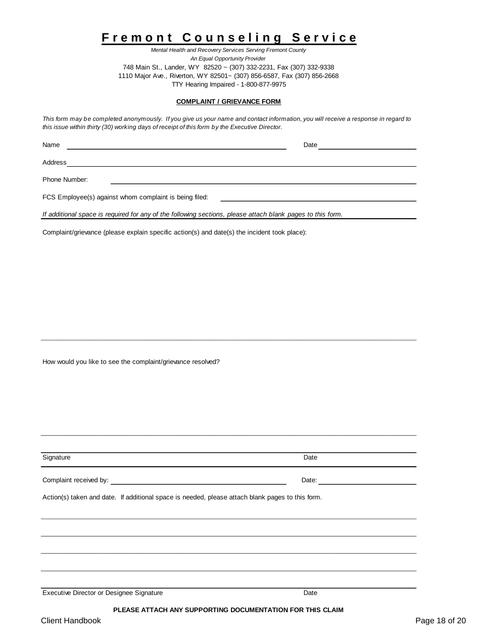# **F r e m o n t C o u n s e l i n g S e r v i c e**

*Mental Health and Recovery Services Serving Fremont County An Equal Opportunity Provider* 748 Main St., Lander, WY 82520 ~ (307) 332-2231, Fax (307) 332-9338 1110 Major Ave., Riverton, WY 82501~ (307) 856-6587, Fax (307) 856-2668 TTY Hearing Impaired - 1-800-877-9975

#### **COMPLAINT / GRIEVANCE FORM**

*This form may be completed anonymously. If you give us your name and contact information, you will receive a response in regard to this issue within thirty (30) working days of receipt of this form by the Executive Director.*

| Name                                                   | Date |  |
|--------------------------------------------------------|------|--|
| Address                                                |      |  |
| Phone Number:                                          |      |  |
| FCS Employee(s) against whom complaint is being filed: |      |  |

*If additional space is required for any of the following sections, please attach blank pages to this form.*

Complaint/grievance (please explain specific action(s) and date(s) the incident took place):

How would you like to see the complaint/grievance resolved?

| Signature                                                                                        | Date  |
|--------------------------------------------------------------------------------------------------|-------|
|                                                                                                  | Date: |
| Action(s) taken and date. If additional space is needed, please attach blank pages to this form. |       |
|                                                                                                  |       |
|                                                                                                  |       |
|                                                                                                  |       |
|                                                                                                  |       |
|                                                                                                  |       |
| Executive Director or Designee Signature                                                         | Date  |

#### **PLEASE ATTACH ANY SUPPORTING DOCUMENTATION FOR THIS CLAIM**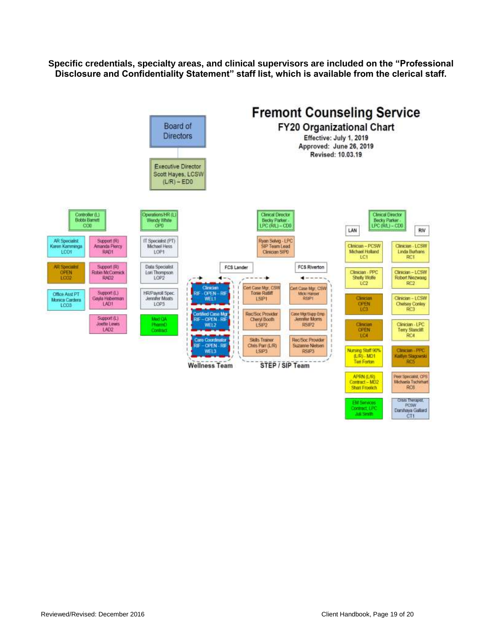**Specific credentials, specialty areas, and clinical supervisors are included on the "Professional Disclosure and Confidentiality Statement" staff list, which is available from the clerical staff.**



Reviewed/Revised: December 2016 Client Handbook, Page 19 of 20

CT1